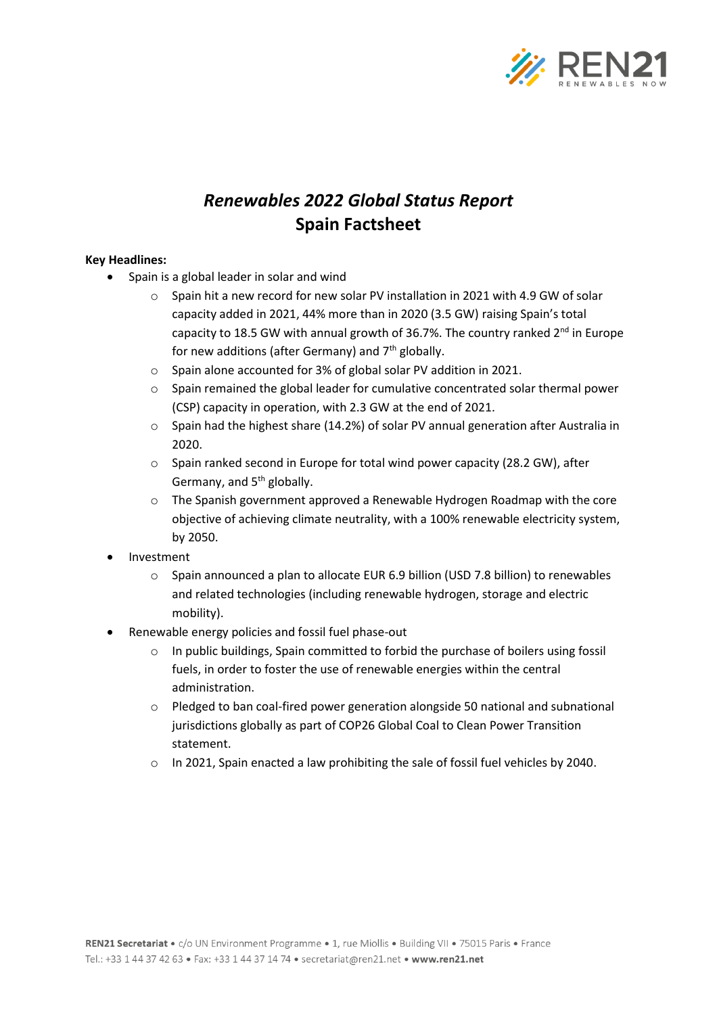

# *Renewables 2022 Global Status Report* **Spain Factsheet**

## **Key Headlines:**

- Spain is a global leader in solar and wind
	- o Spain hit a new record for new solar PV installation in 2021 with 4.9 GW of solar capacity added in 2021, 44% more than in 2020 (3.5 GW) raising Spain's total capacity to 18.5 GW with annual growth of 36.7%. The country ranked  $2^{nd}$  in Europe for new additions (after Germany) and  $7<sup>th</sup>$  globally.
	- o Spain alone accounted for 3% of global solar PV addition in 2021.
	- $\circ$  Spain remained the global leader for cumulative concentrated solar thermal power (CSP) capacity in operation, with 2.3 GW at the end of 2021.
	- $\circ$  Spain had the highest share (14.2%) of solar PV annual generation after Australia in 2020.
	- o Spain ranked second in Europe for total wind power capacity (28.2 GW), after Germany, and 5<sup>th</sup> globally.
	- o The Spanish government approved a Renewable Hydrogen Roadmap with the core objective of achieving climate neutrality, with a 100% renewable electricity system, by 2050.
- **Investment** 
	- $\circ$  Spain announced a plan to allocate EUR 6.9 billion (USD 7.8 billion) to renewables and related technologies (including renewable hydrogen, storage and electric mobility).
- Renewable energy policies and fossil fuel phase-out
	- $\circ$  In public buildings, Spain committed to forbid the purchase of boilers using fossil fuels, in order to foster the use of renewable energies within the central administration.
	- $\circ$  Pledged to ban coal-fired power generation alongside 50 national and subnational jurisdictions globally as part of COP26 Global Coal to Clean Power Transition statement.
	- o In 2021, Spain enacted a law prohibiting the sale of fossil fuel vehicles by 2040.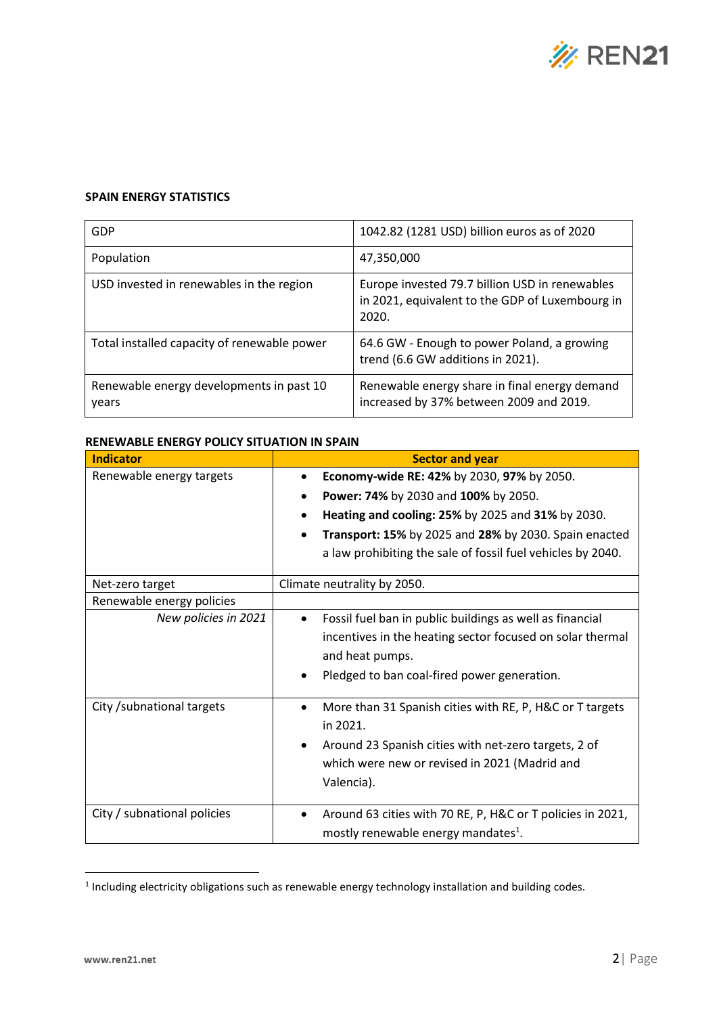

### **SPAIN ENERGY STATISTICS**

| GDP                                               | 1042.82 (1281 USD) billion euros as of 2020                                                                |
|---------------------------------------------------|------------------------------------------------------------------------------------------------------------|
| Population                                        | 47,350,000                                                                                                 |
| USD invested in renewables in the region          | Europe invested 79.7 billion USD in renewables<br>in 2021, equivalent to the GDP of Luxembourg in<br>2020. |
| Total installed capacity of renewable power       | 64.6 GW - Enough to power Poland, a growing<br>trend (6.6 GW additions in 2021).                           |
| Renewable energy developments in past 10<br>years | Renewable energy share in final energy demand<br>increased by 37% between 2009 and 2019.                   |

#### **RENEWABLE ENERGY POLICY SITUATION IN SPAIN**

| <b>Indicator</b>            | <b>Sector and year</b>                                                                                                                               |  |
|-----------------------------|------------------------------------------------------------------------------------------------------------------------------------------------------|--|
| Renewable energy targets    | Economy-wide RE: 42% by 2030, 97% by 2050.<br>Power: 74% by 2030 and 100% by 2050.<br>$\bullet$<br>Heating and cooling: 25% by 2025 and 31% by 2030. |  |
|                             |                                                                                                                                                      |  |
|                             |                                                                                                                                                      |  |
|                             | Transport: 15% by 2025 and 28% by 2030. Spain enacted                                                                                                |  |
|                             | a law prohibiting the sale of fossil fuel vehicles by 2040.                                                                                          |  |
| Net-zero target             | Climate neutrality by 2050.                                                                                                                          |  |
| Renewable energy policies   |                                                                                                                                                      |  |
| New policies in 2021        | Fossil fuel ban in public buildings as well as financial                                                                                             |  |
|                             | incentives in the heating sector focused on solar thermal                                                                                            |  |
|                             | and heat pumps.                                                                                                                                      |  |
|                             | Pledged to ban coal-fired power generation.                                                                                                          |  |
| City / subnational targets  | More than 31 Spanish cities with RE, P, H&C or T targets<br>$\bullet$                                                                                |  |
|                             | in 2021.                                                                                                                                             |  |
|                             | Around 23 Spanish cities with net-zero targets, 2 of<br>$\bullet$                                                                                    |  |
|                             | which were new or revised in 2021 (Madrid and                                                                                                        |  |
|                             | Valencia).                                                                                                                                           |  |
| City / subnational policies | Around 63 cities with 70 RE, P, H&C or T policies in 2021,                                                                                           |  |
|                             | mostly renewable energy mandates <sup>1</sup> .                                                                                                      |  |

<sup>&</sup>lt;sup>1</sup> Including electricity obligations such as renewable energy technology installation and building codes.